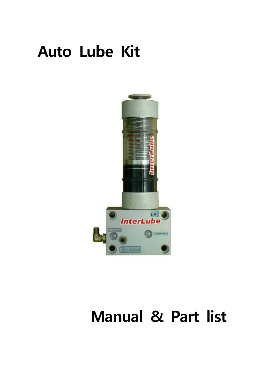# **Auto Lube Kit**



# **Manual & Part list**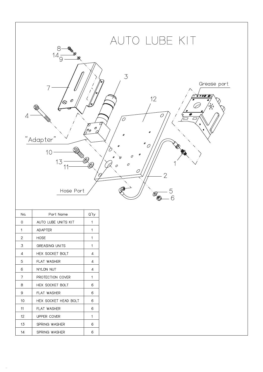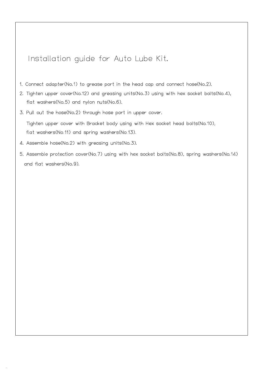#### Installation guide for Auto Lube Kit.

- 1. Connect adapter(No.1) to grease port in the head cap and connect hose(No.2).
- 2. Tighten upper cover(No.12) and greasing units(No.3) using with hex socket bolts(No.4), flat washers(No.5) and nylon nuts(No.6).
- 3. Pull out the hose(No.2) through hose port in upper cover.

Tighten upper cover with Bracket body using with Hex socket head bolts(No.10), flat washers(No.11) and spring washers(No.13).

- 4. Assemble hose(No.2) with greasing units(No.3).
- 5. Assemble protection cover(No.7) using with hex socket bolts(No.8), spring washers(No.14) and flat washers(No.9).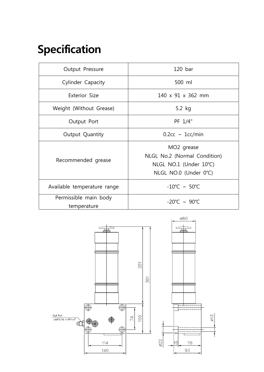## **Specification**

| Output Pressure                      | $120$ bar                                                                                                 |
|--------------------------------------|-----------------------------------------------------------------------------------------------------------|
| Cylinder Capacity                    | 500 ml                                                                                                    |
| Exterior Size                        | 140 x 91 x 362 mm                                                                                         |
| Weight (Without Grease)              | 5.2 kg                                                                                                    |
| Output Port                          | PF 1/4"                                                                                                   |
| Output Quantity                      | $0.2cc \sim 1cc/min$                                                                                      |
| Recommended grease                   | MO <sub>2</sub> grease<br>NLGL No.2 (Normal Condition)<br>NLGL NO.1 (Under 10°C)<br>NLGL NO.0 (Under 0°C) |
| Available temperature range          | $-10^{\circ}$ C ~ 50 $^{\circ}$ C                                                                         |
| Permissible main body<br>temperature | $-20^{\circ}$ C ~ 90 $^{\circ}$ C                                                                         |

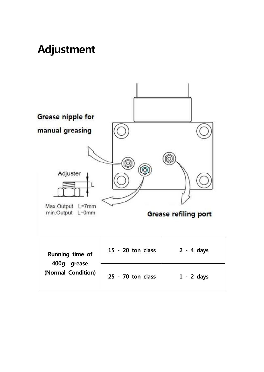## **Adjustment**

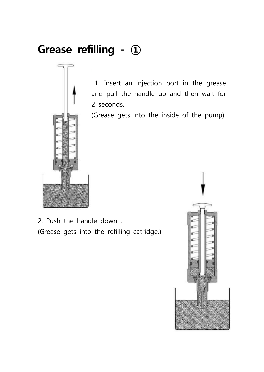## **Grease refilling - ①**



1. Insert an injection port in the grease and pull the handle up and then wait for 2 seconds.

(Grease gets into the inside of the pump)

2. Push the handle down . (Grease gets into the refilling catridge.)

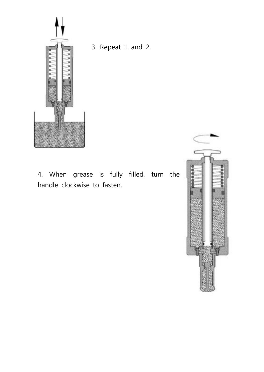

3. Repeat 1 and 2.

4. When grease is fully filled, turn the handle clockwise to fasten.

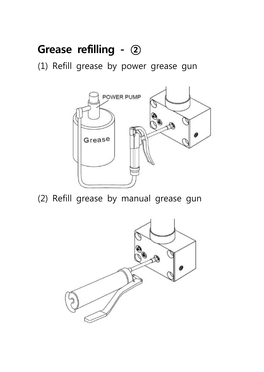## **Grease refilling - ②**

(1) Refill grease by power grease gun



(2) Refill grease by manual grease gun